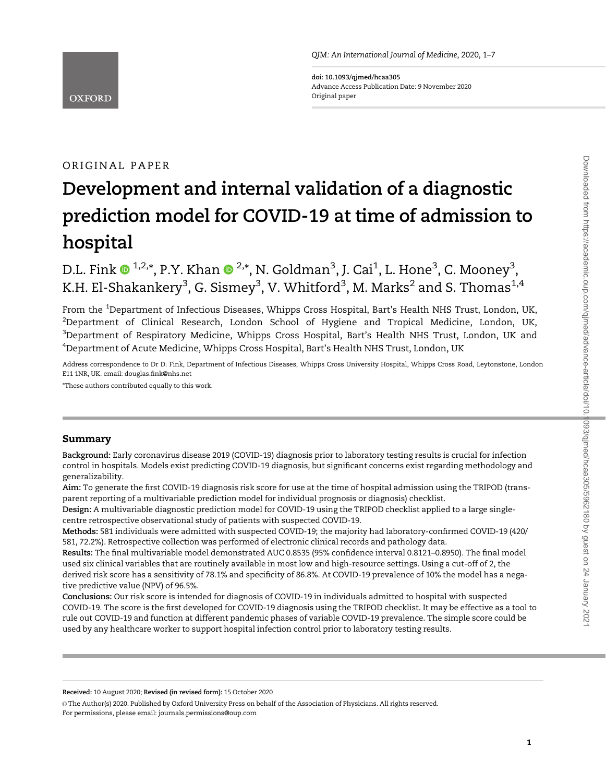

doi: 10.1093/qjmed/hcaa305 Advance Access Publication Date: 9 November 2020 Original paper

# ORIGINAL PAPER

# Development and internal validation of a diagnostic prediction model for COVID-19 at time of admission to hospital

D.L. Fink  $\mathbf{0}^{1,2,*}$ , P.Y. Khan  $\mathbf{0}^{2,*}$ , N. Goldman $^3$ , J. Cai $^1$ , L. Hone $^3$ , C. Mooney $^3$ , K.H. El-Shakankery $^3$ , G. Sismey $^3$ , V. Whitford $^3$ , M. Marks $^2$  and S. Thomas $^{1,4}$ 

From the <sup>1</sup>Department of Infectious Diseases, Whipps Cross Hospital, Bart's Health NHS Trust, London, UK,  $^2$ Department of Clinical Research, London School of Hygiene and Tropical Medicine, London, UK,  $^3$ Department of Respiratory Medicine, Whipps Cross Hospital, Bart's Health NHS Trust, London, UK and 4 Department of Acute Medicine, Whipps Cross Hospital, Bart's Health NHS Trust, London, UK

Address correspondence to Dr D. Fink, Department of Infectious Diseases, Whipps Cross University Hospital, Whipps Cross Road, Leytonstone, London E11 1NR, UK. email: douglas.fink@nhs.net

\*These authors contributed equally to this work.

# Summary

Background: Early coronavirus disease 2019 (COVID-19) diagnosis prior to laboratory testing results is crucial for infection control in hospitals. Models exist predicting COVID-19 diagnosis, but significant concerns exist regarding methodology and generalizability.

Aim: To generate the first COVID-19 diagnosis risk score for use at the time of hospital admission using the TRIPOD (transparent reporting of a multivariable prediction model for individual prognosis or diagnosis) checklist.

Design: A multivariable diagnostic prediction model for COVID-19 using the TRIPOD checklist applied to a large singlecentre retrospective observational study of patients with suspected COVID-19.

Methods: 581 individuals were admitted with suspected COVID-19; the majority had laboratory-confirmed COVID-19 (420/ 581, 72.2%). Retrospective collection was performed of electronic clinical records and pathology data.

Results: The final multivariable model demonstrated AUC 0.8535 (95% confidence interval 0.8121–0.8950). The final model used six clinical variables that are routinely available in most low and high-resource settings. Using a cut-off of 2, the derived risk score has a sensitivity of 78.1% and specificity of 86.8%. At COVID-19 prevalence of 10% the model has a negative predictive value (NPV) of 96.5%.

Conclusions: Our risk score is intended for diagnosis of COVID-19 in individuals admitted to hospital with suspected COVID-19. The score is the first developed for COVID-19 diagnosis using the TRIPOD checklist. It may be effective as a tool to rule out COVID-19 and function at different pandemic phases of variable COVID-19 prevalence. The simple score could be used by any healthcare worker to support hospital infection control prior to laboratory testing results.

Received: 10 August 2020; Revised (in revised form): 15 October 2020

The Author(s) 2020. Published by Oxford University Press on behalf of the Association of Physicians. All rights reserved. For permissions, please email: journals.permissions@oup.com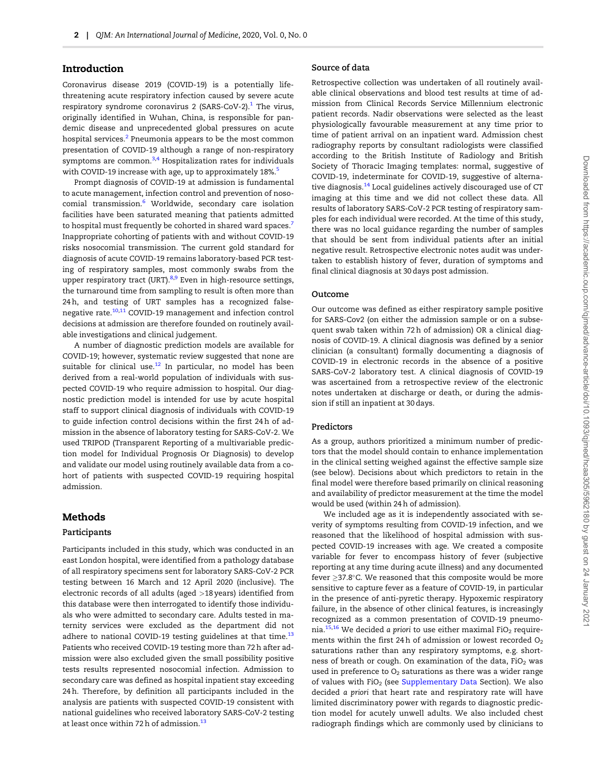# <span id="page-1-0"></span>Introduction

Coronavirus disease 2019 (COVID-19) is a potentially lifethreatening acute respiratory infection caused by severe acute respiratory syndrome coronavirus 2 (SARS-CoV-2). $<sup>1</sup>$  $<sup>1</sup>$  $<sup>1</sup>$  The virus,</sup> originally identified in Wuhan, China, is responsible for pandemic disease and unprecedented global pressures on acute hospital services.<sup>[2](#page-5-0)</sup> Pneumonia appears to be the most common presentation of COVID-19 although a range of non-respiratory symptoms are common. $3,4$  Hospitalization rates for individuals with COVID-19 increase with age, up to approximately 18%.<sup>[5](#page-5-0)</sup>

Prompt diagnosis of COVID-19 at admission is fundamental to acute management, infection control and prevention of noso-comial transmission.<sup>[6](#page-5-0)</sup> Worldwide, secondary care isolation facilities have been saturated meaning that patients admitted to hospital must frequently be cohorted in shared ward spaces.<sup>[7](#page-5-0)</sup> Inappropriate cohorting of patients with and without COVID-19 risks nosocomial transmission. The current gold standard for diagnosis of acute COVID-19 remains laboratory-based PCR testing of respiratory samples, most commonly swabs from the upper respiratory tract (URT).<sup>[8](#page-5-0),[9](#page-5-0)</sup> Even in high-resource settings, the turnaround time from sampling to result is often more than 24 h, and testing of URT samples has a recognized false-negative rate.<sup>[10,11](#page-5-0)</sup> COVID-19 management and infection control decisions at admission are therefore founded on routinely available investigations and clinical judgement.

A number of diagnostic prediction models are available for COVID-19; however, systematic review suggested that none are suitable for clinical use.<sup>12</sup> In particular, no model has been derived from a real-world population of individuals with suspected COVID-19 who require admission to hospital. Our diagnostic prediction model is intended for use by acute hospital staff to support clinical diagnosis of individuals with COVID-19 to guide infection control decisions within the first 24 h of admission in the absence of laboratory testing for SARS-CoV-2. We used TRIPOD (Transparent Reporting of a multivariable prediction model for Individual Prognosis Or Diagnosis) to develop and validate our model using routinely available data from a cohort of patients with suspected COVID-19 requiring hospital admission.

# Methods

#### Participants

Participants included in this study, which was conducted in an east London hospital, were identified from a pathology database of all respiratory specimens sent for laboratory SARS-CoV-2 PCR testing between 16 March and 12 April 2020 (inclusive). The electronic records of all adults (aged >18 years) identified from this database were then interrogated to identify those individuals who were admitted to secondary care. Adults tested in maternity services were excluded as the department did not adhere to national COVID-19 testing guidelines at that time. $13$ Patients who received COVID-19 testing more than 72 h after admission were also excluded given the small possibility positive tests results represented nosocomial infection. Admission to secondary care was defined as hospital inpatient stay exceeding 24 h. Therefore, by definition all participants included in the analysis are patients with suspected COVID-19 consistent with national guidelines who received laboratory SARS-CoV-2 testing at least once within 72 h of admission.<sup>[13](#page-5-0)</sup>

#### Source of data

Retrospective collection was undertaken of all routinely available clinical observations and blood test results at time of admission from Clinical Records Service Millennium electronic patient records. Nadir observations were selected as the least physiologically favourable measurement at any time prior to time of patient arrival on an inpatient ward. Admission chest radiography reports by consultant radiologists were classified according to the British Institute of Radiology and British Society of Thoracic Imaging templates: normal, suggestive of COVID-19, indeterminate for COVID-19, suggestive of alterna-tive diagnosis.<sup>[14](#page-6-0)</sup> Local guidelines actively discouraged use of CT imaging at this time and we did not collect these data. All results of laboratory SARS-CoV-2 PCR testing of respiratory samples for each individual were recorded. At the time of this study, there was no local guidance regarding the number of samples that should be sent from individual patients after an initial negative result. Retrospective electronic notes audit was undertaken to establish history of fever, duration of symptoms and final clinical diagnosis at 30 days post admission.

#### Outcome

Our outcome was defined as either respiratory sample positive for SARS-Cov2 (on either the admission sample or on a subsequent swab taken within 72 h of admission) OR a clinical diagnosis of COVID-19. A clinical diagnosis was defined by a senior clinician (a consultant) formally documenting a diagnosis of COVID-19 in electronic records in the absence of a positive SARS-CoV-2 laboratory test. A clinical diagnosis of COVID-19 was ascertained from a retrospective review of the electronic notes undertaken at discharge or death, or during the admission if still an inpatient at 30 days.

# Predictors

As a group, authors prioritized a minimum number of predictors that the model should contain to enhance implementation in the clinical setting weighed against the effective sample size (see below). Decisions about which predictors to retain in the final model were therefore based primarily on clinical reasoning and availability of predictor measurement at the time the model would be used (within 24 h of admission).

We included age as it is independently associated with severity of symptoms resulting from COVID-19 infection, and we reasoned that the likelihood of hospital admission with suspected COVID-19 increases with age. We created a composite variable for fever to encompass history of fever (subjective reporting at any time during acute illness) and any documented fever  $\geq$ 37.8°C. We reasoned that this composite would be more sensitive to capture fever as a feature of COVID-19, in particular in the presence of anti-pyretic therapy. Hypoxemic respiratory failure, in the absence of other clinical features, is increasingly recognized as a common presentation of COVID-19 pneumo-nia.<sup>[15,16](#page-6-0)</sup> We decided a priori to use either maximal FiO<sub>2</sub> requirements within the first 24 h of admission or lowest recorded  $O_2$ saturations rather than any respiratory symptoms, e.g. shortness of breath or cough. On examination of the data,  $FiO<sub>2</sub>$  was used in preference to  $O_2$  saturations as there was a wider range of values with  $FiO<sub>2</sub>$  (see [Supplementary Data](https://academic.oup.com/qjmed/article-lookup/doi/10.1093/qjmed/hcaa305#supplementary-data) Section). We also decided a priori that heart rate and respiratory rate will have limited discriminatory power with regards to diagnostic prediction model for acutely unwell adults. We also included chest radiograph findings which are commonly used by clinicians to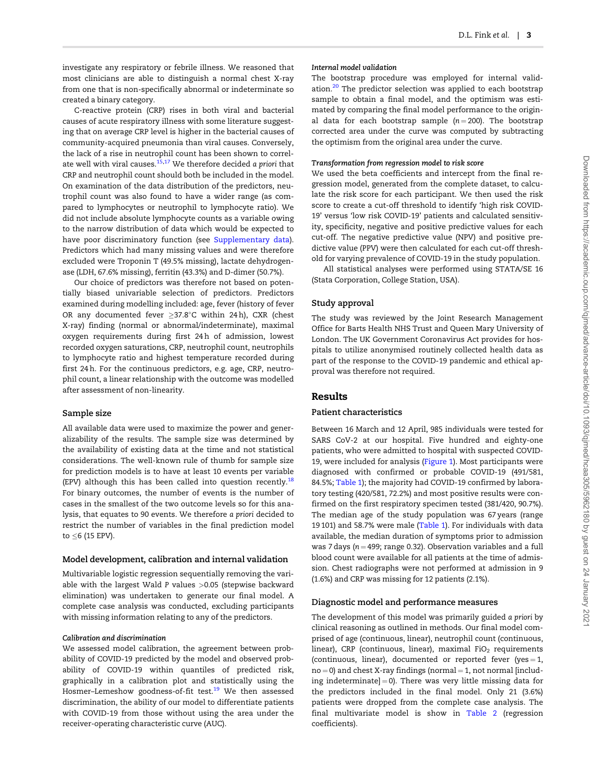<span id="page-2-0"></span>investigate any respiratory or febrile illness. We reasoned that most clinicians are able to distinguish a normal chest X-ray from one that is non-specifically abnormal or indeterminate so created a binary category.

C-reactive protein (CRP) rises in both viral and bacterial causes of acute respiratory illness with some literature suggesting that on average CRP level is higher in the bacterial causes of community-acquired pneumonia than viral causes. Conversely, the lack of a rise in neutrophil count has been shown to correl-ate well with viral causes.<sup>[15,17](#page-6-0)</sup> We therefore decided a priori that CRP and neutrophil count should both be included in the model. On examination of the data distribution of the predictors, neutrophil count was also found to have a wider range (as compared to lymphocytes or neutrophil to lymphocyte ratio). We did not include absolute lymphocyte counts as a variable owing to the narrow distribution of data which would be expected to have poor discriminatory function (see [Supplementary data\)](https://academic.oup.com/qjmed/article-lookup/doi/10.1093/qjmed/hcaa305#supplementary-data). Predictors which had many missing values and were therefore excluded were Troponin T (49.5% missing), lactate dehydrogenase (LDH, 67.6% missing), ferritin (43.3%) and D-dimer (50.7%).

Our choice of predictors was therefore not based on potentially biased univariable selection of predictors. Predictors examined during modelling included: age, fever (history of fever OR any documented fever  $\geq$ 37.8°C within 24h), CXR (chest X-ray) finding (normal or abnormal/indeterminate), maximal oxygen requirements during first 24 h of admission, lowest recorded oxygen saturations, CRP, neutrophil count, neutrophils to lymphocyte ratio and highest temperature recorded during first 24 h. For the continuous predictors, e.g. age, CRP, neutrophil count, a linear relationship with the outcome was modelled after assessment of non-linearity.

#### Sample size

All available data were used to maximize the power and generalizability of the results. The sample size was determined by the availability of existing data at the time and not statistical considerations. The well-known rule of thumb for sample size for prediction models is to have at least 10 events per variable (EPV) although this has been called into question recently.<sup>[18](#page-6-0)</sup> For binary outcomes, the number of events is the number of cases in the smallest of the two outcome levels so for this analysis, that equates to 90 events. We therefore a priori decided to restrict the number of variables in the final prediction model to  $\leq$  6 (15 EPV).

#### Model development, calibration and internal validation

Multivariable logistic regression sequentially removing the variable with the largest Wald P values >0.05 (stepwise backward elimination) was undertaken to generate our final model. A complete case analysis was conducted, excluding participants with missing information relating to any of the predictors.

# Calibration and discrimination

We assessed model calibration, the agreement between probability of COVID-19 predicted by the model and observed probability of COVID-19 within quantiles of predicted risk, graphically in a calibration plot and statistically using the Hosmer–Lemeshow goodness-of-fit test.<sup>[19](#page-6-0)</sup> We then assessed discrimination, the ability of our model to differentiate patients with COVID-19 from those without using the area under the receiver-operating characteristic curve (AUC).

#### Internal model validation

The bootstrap procedure was employed for internal valid-ation.<sup>[20](#page-6-0)</sup> The predictor selection was applied to each bootstrap sample to obtain a final model, and the optimism was estimated by comparing the final model performance to the original data for each bootstrap sample  $(n = 200)$ . The bootstrap corrected area under the curve was computed by subtracting the optimism from the original area under the curve.

#### Transformation from regression model to risk score

We used the beta coefficients and intercept from the final regression model, generated from the complete dataset, to calculate the risk score for each participant. We then used the risk score to create a cut-off threshold to identify 'high risk COVID-19' versus 'low risk COVID-19' patients and calculated sensitivity, specificity, negative and positive predictive values for each cut-off. The negative predictive value (NPV) and positive predictive value (PPV) were then calculated for each cut-off threshold for varying prevalence of COVID-19 in the study population.

All statistical analyses were performed using STATA/SE 16 (Stata Corporation, College Station, USA).

# Study approval

The study was reviewed by the Joint Research Management Office for Barts Health NHS Trust and Queen Mary University of London. The UK Government Coronavirus Act provides for hospitals to utilize anonymised routinely collected health data as part of the response to the COVID-19 pandemic and ethical approval was therefore not required.

## Results

#### Patient characteristics

Between 16 March and 12 April, 985 individuals were tested for SARS CoV-2 at our hospital. Five hundred and eighty-one patients, who were admitted to hospital with suspected COVID-19, were included for analysis [\(Figure 1](#page-3-0)). Most participants were diagnosed with confirmed or probable COVID-19 (491/581, 84.5%; [Table 1\)](#page-4-0); the majority had COVID-19 confirmed by laboratory testing (420/581, 72.2%) and most positive results were confirmed on the first respiratory specimen tested (381/420, 90.7%). The median age of the study population was 67 years (range 19 101) and 58.7% were male ([Table 1](#page-4-0)). For individuals with data available, the median duration of symptoms prior to admission was 7 days ( $n = 499$ ; range 0.32). Observation variables and a full blood count were available for all patients at the time of admission. Chest radiographs were not performed at admission in 9 (1.6%) and CRP was missing for 12 patients (2.1%).

#### Diagnostic model and performance measures

The development of this model was primarily guided a priori by clinical reasoning as outlined in methods. Our final model comprised of age (continuous, linear), neutrophil count (continuous, linear), CRP (continuous, linear), maximal  $FiO<sub>2</sub>$  requirements (continuous, linear), documented or reported fever (yes =  $1$ ,  $no = 0$ ) and chest X-ray findings (normal = 1, not normal [including indeterminate $] = 0$ ). There was very little missing data for the predictors included in the final model. Only 21 (3.6%) patients were dropped from the complete case analysis. The final multivariate model is show in [Table 2](#page-4-0) (regression coefficients).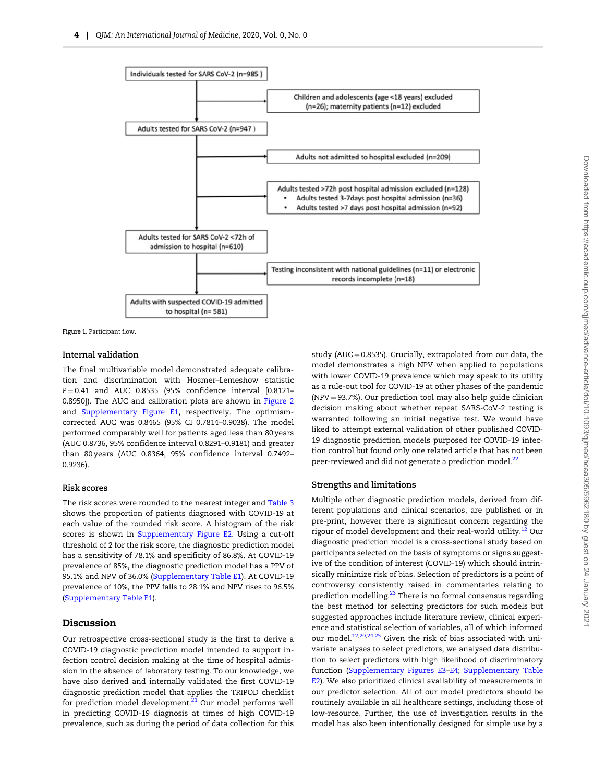<span id="page-3-0"></span>

Figure 1. Participant flow.

## Internal validation

The final multivariable model demonstrated adequate calibration and discrimination with Hosmer–Lemeshow statistic  $P = 0.41$  and AUC 0.8535 (95% confidence interval [0.8121-0.8950]). The AUC and calibration plots are shown in [Figure 2](#page-5-0) and [Supplementary Figure E1,](https://academic.oup.com/qjmed/article-lookup/doi/10.1093/qjmed/hcaa305#supplementary-data) respectively. The optimismcorrected AUC was 0.8465 (95% CI 0.7814–0.9038). The model performed comparably well for patients aged less than 80 years (AUC 0.8736, 95% confidence interval 0.8291–0.9181) and greater than 80 years (AUC 0.8364, 95% confidence interval 0.7492– 0.9236).

#### Risk scores

The risk scores were rounded to the nearest integer and [Table 3](#page-5-0) shows the proportion of patients diagnosed with COVID-19 at each value of the rounded risk score. A histogram of the risk scores is shown in [Supplementary Figure E2](https://academic.oup.com/qjmed/article-lookup/doi/10.1093/qjmed/hcaa305#supplementary-data). Using a cut-off threshold of 2 for the risk score, the diagnostic prediction model has a sensitivity of 78.1% and specificity of 86.8%. At COVID-19 prevalence of 85%, the diagnostic prediction model has a PPV of 95.1% and NPV of 36.0% ([Supplementary Table E1](https://academic.oup.com/qjmed/article-lookup/doi/10.1093/qjmed/hcaa305#supplementary-data)). At COVID-19 prevalence of 10%, the PPV falls to 28.1% and NPV rises to 96.5% [\(Supplementary Table E1](https://academic.oup.com/qjmed/article-lookup/doi/10.1093/qjmed/hcaa305#supplementary-data)).

## Discussion

Our retrospective cross-sectional study is the first to derive a COVID-19 diagnostic prediction model intended to support infection control decision making at the time of hospital admission in the absence of laboratory testing. To our knowledge, we have also derived and internally validated the first COVID-19 diagnostic prediction model that applies the TRIPOD checklist for prediction model development. $21$  Our model performs well in predicting COVID-19 diagnosis at times of high COVID-19 prevalence, such as during the period of data collection for this

study (AUC = 0.8535). Crucially, extrapolated from our data, the model demonstrates a high NPV when applied to populations with lower COVID-19 prevalence which may speak to its utility as a rule-out tool for COVID-19 at other phases of the pandemic  $(NPV = 93.7%)$ . Our prediction tool may also help guide clinician decision making about whether repeat SARS-CoV-2 testing is warranted following an initial negative test. We would have liked to attempt external validation of other published COVID-19 diagnostic prediction models purposed for COVID-19 infection control but found only one related article that has not been peer-reviewed and did not generate a prediction model.<sup>[22](#page-6-0)</sup>

#### Strengths and limitations

Multiple other diagnostic prediction models, derived from different populations and clinical scenarios, are published or in pre-print, however there is significant concern regarding the rigour of model development and their real-world utility.<sup>[12](#page-5-0)</sup> Our diagnostic prediction model is a cross-sectional study based on participants selected on the basis of symptoms or signs suggestive of the condition of interest (COVID-19) which should intrinsically minimize risk of bias. Selection of predictors is a point of controversy consistently raised in commentaries relating to prediction modelling.<sup>[23](#page-6-0)</sup> There is no formal consensus regarding the best method for selecting predictors for such models but suggested approaches include literature review, clinical experience and statistical selection of variables, all of which informed our model.<sup>[12](#page-5-0),[20,24](#page-6-0),[25](#page-6-0)</sup> Given the risk of bias associated with univariate analyses to select predictors, we analysed data distribution to select predictors with high likelihood of discriminatory function [\(Supplementary Figures E3–E4](https://academic.oup.com/qjmed/article-lookup/doi/10.1093/qjmed/hcaa305#supplementary-data); [Supplementary Table](https://academic.oup.com/qjmed/article-lookup/doi/10.1093/qjmed/hcaa305#supplementary-data) [E2\)](https://academic.oup.com/qjmed/article-lookup/doi/10.1093/qjmed/hcaa305#supplementary-data). We also prioritized clinical availability of measurements in our predictor selection. All of our model predictors should be routinely available in all healthcare settings, including those of low-resource. Further, the use of investigation results in the model has also been intentionally designed for simple use by a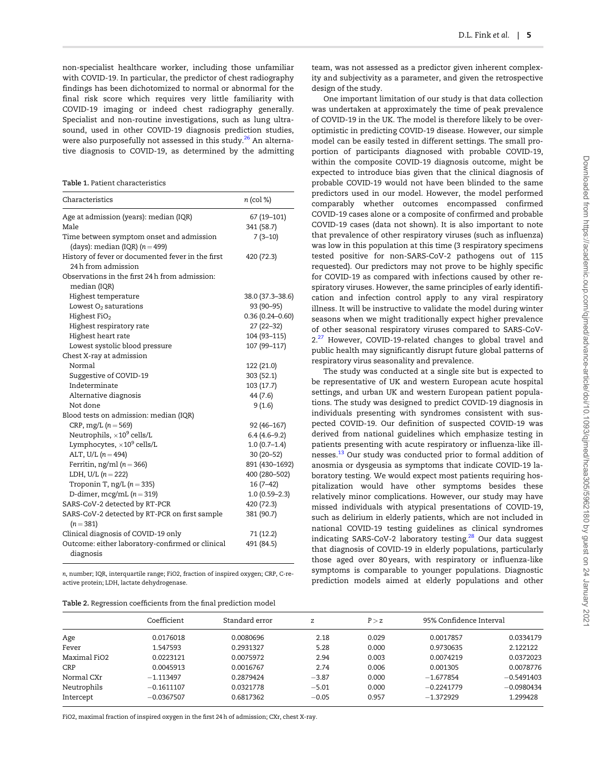<span id="page-4-0"></span>non-specialist healthcare worker, including those unfamiliar with COVID-19. In particular, the predictor of chest radiography findings has been dichotomized to normal or abnormal for the final risk score which requires very little familiarity with COVID-19 imaging or indeed chest radiography generally. Specialist and non-routine investigations, such as lung ultrasound, used in other COVID-19 diagnosis prediction studies, were also purposefully not assessed in this study.<sup>[26](#page-6-0)</sup> An alternative diagnosis to COVID-19, as determined by the admitting

Table 1. Patient characteristics

| Characteristics                                                              | n (col %)                 |
|------------------------------------------------------------------------------|---------------------------|
| Age at admission (years): median (IQR)<br>Male                               | 67 (19-101)<br>341 (58.7) |
| Time between symptom onset and admission<br>(days): median (IQR) $(n = 499)$ | $7(3-10)$                 |
| History of fever or documented fever in the first<br>24 h from admission     | 420 (72.3)                |
| Observations in the first 24 h from admission:<br>median (IQR)               |                           |
| Highest temperature                                                          | 38.0 (37.3-38.6)          |
| Lowest $O2$ saturations                                                      | 93 (90-95)                |
| Highest $FiO2$                                                               | $0.36(0.24 - 0.60)$       |
| Highest respiratory rate                                                     | 27 (22-32)                |
| Highest heart rate                                                           | 104 (93-115)              |
| Lowest systolic blood pressure                                               | 107 (99-117)              |
| Chest X-ray at admission                                                     |                           |
| Normal                                                                       | 122 (21.0)                |
| Suggestive of COVID-19                                                       | 303 (52.1)                |
| Indeterminate                                                                | 103 (17.7)                |
| Alternative diagnosis                                                        | 44 (7.6)                  |
| Not done                                                                     | 9(1.6)                    |
| Blood tests on admission: median (IQR)                                       |                           |
| $CRP, mg/L (n = 569)$                                                        | 92 (46-167)               |
| Neutrophils, $\times 10^9$ cells/L                                           | $6.4(4.6-9.2)$            |
| Lymphocytes, $\times 10^9$ cells/L                                           | $1.0(0.7-1.4)$            |
| ALT, U/L $(n = 494)$                                                         | 30 (20-52)                |
| Ferritin, ng/ml ( $n = 366$ )                                                | 891 (430-1692)            |
| LDH, U/L $(n = 222)$                                                         | 400 (280-502)             |
| Troponin T, ng/L $(n = 335)$                                                 | 16 (7-42)                 |
| D-dimer, mcg/mL $(n = 319)$                                                  | $1.0(0.59-2.3)$           |
| SARS-CoV-2 detected by RT-PCR                                                | 420 (72.3)                |
| SARS-CoV-2 detected by RT-PCR on first sample<br>$(n=381)$                   | 381 (90.7)                |
| Clinical diagnosis of COVID-19 only                                          | 71 (12.2)                 |
| Outcome: either laboratory-confirmed or clinical<br>diagnosis                | 491 (84.5)                |

n, number; IQR, interquartile range; FiO2, fraction of inspired oxygen; CRP, C-reactive protein; LDH, lactate dehydrogenase.

| Table 2. Regression coefficients from the final prediction model |  |  |  |  |
|------------------------------------------------------------------|--|--|--|--|
|------------------------------------------------------------------|--|--|--|--|

team, was not assessed as a predictor given inherent complexity and subjectivity as a parameter, and given the retrospective design of the study.

One important limitation of our study is that data collection was undertaken at approximately the time of peak prevalence of COVID-19 in the UK. The model is therefore likely to be overoptimistic in predicting COVID-19 disease. However, our simple model can be easily tested in different settings. The small proportion of participants diagnosed with probable COVID-19, within the composite COVID-19 diagnosis outcome, might be expected to introduce bias given that the clinical diagnosis of probable COVID-19 would not have been blinded to the same predictors used in our model. However, the model performed comparably whether outcomes encompassed confirmed COVID-19 cases alone or a composite of confirmed and probable COVID-19 cases (data not shown). It is also important to note that prevalence of other respiratory viruses (such as influenza) was low in this population at this time (3 respiratory specimens tested positive for non-SARS-CoV-2 pathogens out of 115 requested). Our predictors may not prove to be highly specific for COVID-19 as compared with infections caused by other respiratory viruses. However, the same principles of early identification and infection control apply to any viral respiratory illness. It will be instructive to validate the model during winter seasons when we might traditionally expect higher prevalence of other seasonal respiratory viruses compared to SARS-CoV-2.<sup>[27](#page-6-0)</sup> However, COVID-19-related changes to global travel and public health may significantly disrupt future global patterns of respiratory virus seasonality and prevalence.

The study was conducted at a single site but is expected to be representative of UK and western European acute hospital settings, and urban UK and western European patient populations. The study was designed to predict COVID-19 diagnosis in individuals presenting with syndromes consistent with suspected COVID-19. Our definition of suspected COVID-19 was derived from national guidelines which emphasize testing in patients presenting with acute respiratory or influenza-like illnesses.[13](#page-5-0) Our study was conducted prior to formal addition of anosmia or dysgeusia as symptoms that indicate COVID-19 laboratory testing. We would expect most patients requiring hospitalization would have other symptoms besides these relatively minor complications. However, our study may have missed individuals with atypical presentations of COVID-19, such as delirium in elderly patients, which are not included in national COVID-19 testing guidelines as clinical syndromes indicating SARS-CoV-2 laboratory testing.<sup>[28](#page-6-0)</sup> Our data suggest that diagnosis of COVID-19 in elderly populations, particularly those aged over 80 years, with respiratory or influenza-like symptoms is comparable to younger populations. Diagnostic prediction models aimed at elderly populations and other

| Age          | Coefficient<br>0.0176018 | Standard error<br>0.0080696 | Z<br>2.18 | P > Z<br>0.029 | 95% Confidence Interval |              |
|--------------|--------------------------|-----------------------------|-----------|----------------|-------------------------|--------------|
|              |                          |                             |           |                | 0.0017857               | 0.0334179    |
| Fever        | 1.547593                 | 0.2931327                   | 5.28      | 0.000          | 0.9730635               | 2.122122     |
| Maximal FiO2 | 0.0223121                | 0.0075972                   | 2.94      | 0.003          | 0.0074219               | 0.0372023    |
| CRP          | 0.0045913                | 0.0016767                   | 2.74      | 0.006          | 0.001305                | 0.0078776    |
| Normal CXr   | $-1.113497$              | 0.2879424                   | $-3.87$   | 0.000          | $-1.677854$             | $-0.5491403$ |
| Neutrophils  | $-0.1611107$             | 0.0321778                   | $-5.01$   | 0.000          | $-0.2241779$            | $-0.0980434$ |
| Intercept    | $-0.0367507$             | 0.6817362                   | $-0.05$   | 0.957          | $-1.372929$             | 1.299428     |

FiO2, maximal fraction of inspired oxygen in the first 24 h of admission; CXr, chest X-ray.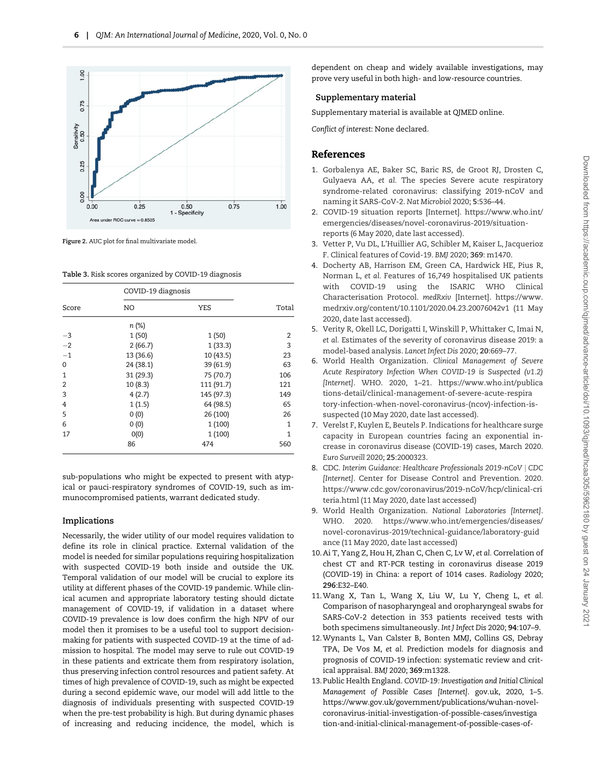<span id="page-5-0"></span>

Figure 2. AUC plot for final multivariate model.

Table 3. Risk scores organized by COVID-19 diagnosis

| Score | COVID-19 diagnosis |            |       |
|-------|--------------------|------------|-------|
|       | NO                 | <b>YES</b> | Total |
|       | n (%)              |            |       |
| $-3$  | 1(50)              | 1(50)      | 2     |
| $-2$  | 2(66.7)            | 1(33.3)    | 3     |
| $-1$  | 13 (36.6)          | 10 (43.5)  | 23    |
| 0     | 24 (38.1)          | 39 (61.9)  | 63    |
| 1     | 31 (29.3)          | 75 (70.7)  | 106   |
| 2     | 10(8.3)            | 111 (91.7) | 121   |
| 3     | 4(2.7)             | 145 (97.3) | 149   |
| 4     | 1(1.5)             | 64 (98.5)  | 65    |
| 5     | 0(0)               | 26 (100)   | 26    |
| 6     | 0(0)               | 1(100)     | 1     |
| 17    | O(0)               | 1(100)     | 1     |
|       | 86                 | 474        | 560   |

sub-populations who might be expected to present with atypical or pauci-respiratory syndromes of COVID-19, such as immunocompromised patients, warrant dedicated study.

# Implications

Necessarily, the wider utility of our model requires validation to define its role in clinical practice. External validation of the model is needed for similar populations requiring hospitalization with suspected COVID-19 both inside and outside the UK. Temporal validation of our model will be crucial to explore its utility at different phases of the COVID-19 pandemic. While clinical acumen and appropriate laboratory testing should dictate management of COVID-19, if validation in a dataset where COVID-19 prevalence is low does confirm the high NPV of our model then it promises to be a useful tool to support decisionmaking for patients with suspected COVID-19 at the time of admission to hospital. The model may serve to rule out COVID-19 in these patients and extricate them from respiratory isolation, thus preserving infection control resources and patient safety. At times of high prevalence of COVID-19, such as might be expected during a second epidemic wave, our model will add little to the diagnosis of individuals presenting with suspected COVID-19 when the pre-test probability is high. But during dynamic phases of increasing and reducing incidence, the model, which is

dependent on cheap and widely available investigations, may prove very useful in both high- and low-resource countries.

# Supplementary material

Supplementary material is available at QJMED online.

Conflict of interest: None declared.

# References

- [1](#page-1-0). Gorbalenya AE, Baker SC, Baric RS, de Groot RJ, Drosten C, Gulyaeva AA, et al. The species Severe acute respiratory syndrome-related coronavirus: classifying 2019-nCoV and naming it SARS-CoV-2. Nat Microbiol 2020; 5:536–44.
- [2](#page-1-0). COVID-19 situation reports [Internet]. [https://www.who.int/](https://www.who.int/emergencies/diseases/novel-coronavirus-2019/situation-reports) [emergencies/diseases/novel-coronavirus-2019/situation](https://www.who.int/emergencies/diseases/novel-coronavirus-2019/situation-reports)[reports](https://www.who.int/emergencies/diseases/novel-coronavirus-2019/situation-reports) (6 May 2020, date last accessed).
- [3](#page-1-0). Vetter P, Vu DL, L'Huillier AG, Schibler M, Kaiser L, Jacquerioz F. Clinical features of Covid-19. BMJ 2020; 369: m1470.
- [4](#page-1-0). Docherty AB, Harrison EM, Green CA, Hardwick HE, Pius R, Norman L, et al. Features of 16,749 hospitalised UK patients with COVID-19 using the ISARIC WHO Clinical Characterisation Protocol. medRxiv [Internet]. [https://www.](https://www.medrxiv.org/content/10.1101/2020.04.23.20076042v1) [medrxiv.org/content/10.1101/2020.04.23.20076042v1](https://www.medrxiv.org/content/10.1101/2020.04.23.20076042v1) (11 May 2020, date last accessed).
- [5](#page-1-0). Verity R, Okell LC, Dorigatti I, Winskill P, Whittaker C, Imai N, et al. Estimates of the severity of coronavirus disease 2019: a model-based analysis. Lancet Infect Dis 2020; 20:669–77.
- [6](#page-1-0). World Health Organization. Clinical Management of Severe Acute Respiratory Infection When COVID-19 is Suspected (v1.2) [Internet]. WHO. 2020, 1–21. [https://www.who.int/publica](https://www.who.int/publications-detail/clinical-management-of-severe-acute-respiratory-infection-when-novel-coronavirus-(ncov)-infection-is-suspected) [tions-detail/clinical-management-of-severe-acute-respira](https://www.who.int/publications-detail/clinical-management-of-severe-acute-respiratory-infection-when-novel-coronavirus-(ncov)-infection-is-suspected) [tory-infection-when-novel-coronavirus-\(ncov\)-infection-is](https://www.who.int/publications-detail/clinical-management-of-severe-acute-respiratory-infection-when-novel-coronavirus-(ncov)-infection-is-suspected)[suspected](https://www.who.int/publications-detail/clinical-management-of-severe-acute-respiratory-infection-when-novel-coronavirus-(ncov)-infection-is-suspected) (10 May 2020, date last accessed).
- [7](#page-1-0). Verelst F, Kuylen E, Beutels P. Indications for healthcare surge capacity in European countries facing an exponential increase in coronavirus disease (COVID-19) cases, March 2020. Euro Surveill 2020; 25:2000323.
- [8](#page-1-0). CDC. Interim Guidance: Healthcare Professionals 2019-nCoV | CDC [Internet]. Center for Disease Control and Prevention. 2020. [https://www.cdc.gov/coronavirus/2019-nCoV/hcp/clinical-cri](https://www.cdc.gov/coronavirus/2019-nCoV/hcp/clinical-criteria.html) [teria.html](https://www.cdc.gov/coronavirus/2019-nCoV/hcp/clinical-criteria.html) (11 May 2020, date last accessed)
- [9](#page-1-0). World Health Organization. National Laboratories [Internet]. WHO. 2020. [https://www.who.int/emergencies/diseases/](https://www.who.int/emergencies/diseases/novel-coronavirus-2019/technical-guidance/laboratory-guidance) [novel-coronavirus-2019/technical-guidance/laboratory-guid](https://www.who.int/emergencies/diseases/novel-coronavirus-2019/technical-guidance/laboratory-guidance) [ance](https://www.who.int/emergencies/diseases/novel-coronavirus-2019/technical-guidance/laboratory-guidance) (11 May 2020, date last accessed)
- [10](#page-1-0).Ai T, Yang Z, Hou H, Zhan C, Chen C, Lv W, et al. Correlation of chest CT and RT-PCR testing in coronavirus disease 2019 (COVID-19) in China: a report of 1014 cases. Radiology 2020; 296:E32–E40.
- [11](#page-1-0).Wang X, Tan L, Wang X, Liu W, Lu Y, Cheng L, et al. Comparison of nasopharyngeal and oropharyngeal swabs for SARS-CoV-2 detection in 353 patients received tests with both specimens simultaneously. Int J Infect Dis 2020; 94:107–9.
- [12](#page-1-0).Wynants L, Van Calster B, Bonten MMJ, Collins GS, Debray TPA, De Vos M, et al. Prediction models for diagnosis and prognosis of COVID-19 infection: systematic review and critical appraisal. BMJ 2020; 369:m1328.
- [13](#page-1-0).Public Health England. COVID-19: Investigation and Initial Clinical Management of Possible Cases [Internet]. gov.uk, 2020, 1–5. [https://www.gov.uk/government/publications/wuhan-novel](https://www.gov.uk/government/publications/wuhan-novel-coronavirus-initial-investigation-of-possible-cases/investigation-and-initial-clinical-management-of-possible-cases-of-wuhan-novel-coronavirus-wn-cov-infection#interim-definition-possible-cases)[coronavirus-initial-investigation-of-possible-cases/investiga](https://www.gov.uk/government/publications/wuhan-novel-coronavirus-initial-investigation-of-possible-cases/investigation-and-initial-clinical-management-of-possible-cases-of-wuhan-novel-coronavirus-wn-cov-infection#interim-definition-possible-cases) [tion-and-initial-clinical-management-of-possible-cases-of-](https://www.gov.uk/government/publications/wuhan-novel-coronavirus-initial-investigation-of-possible-cases/investigation-and-initial-clinical-management-of-possible-cases-of-wuhan-novel-coronavirus-wn-cov-infection#interim-definition-possible-cases)